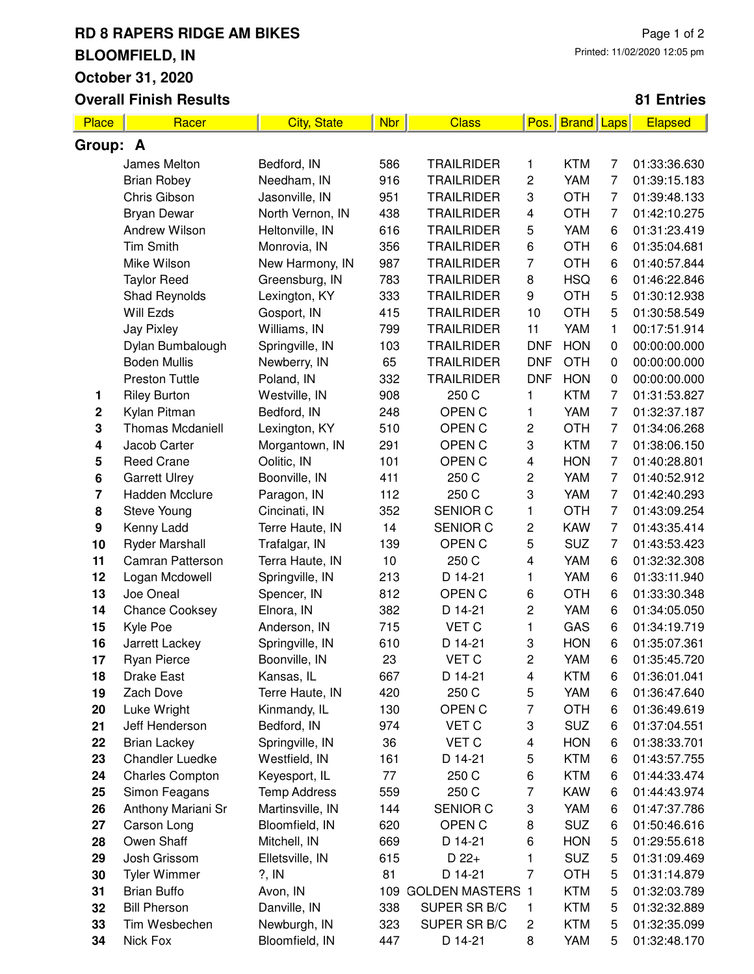## **RD 8 RAPERS RIDGE AM BIKES BLOOMFIELD, IN October 31, 2020 Overall Finish Results**

## **81 Entries**

| Place            | Racer                   | <b>City, State</b>  | <b>Nbr</b> | <b>Class</b>            | Pos.                    | <b>Brand Laps</b> |                | <b>Elapsed</b> |  |  |
|------------------|-------------------------|---------------------|------------|-------------------------|-------------------------|-------------------|----------------|----------------|--|--|
| Group: A         |                         |                     |            |                         |                         |                   |                |                |  |  |
|                  | James Melton            | Bedford, IN         | 586        | <b>TRAILRIDER</b>       | 1                       | <b>KTM</b>        | 7              | 01:33:36.630   |  |  |
|                  | <b>Brian Robey</b>      | Needham, IN         | 916        | <b>TRAILRIDER</b>       | 2                       | YAM               | 7              | 01:39:15.183   |  |  |
|                  | Chris Gibson            | Jasonville, IN      | 951        | <b>TRAILRIDER</b>       | 3                       | <b>OTH</b>        | 7              | 01:39:48.133   |  |  |
|                  | <b>Bryan Dewar</b>      | North Vernon, IN    | 438        | <b>TRAILRIDER</b>       | 4                       | <b>OTH</b>        | $\overline{7}$ | 01:42:10.275   |  |  |
|                  | Andrew Wilson           | Heltonville, IN     | 616        | <b>TRAILRIDER</b>       | 5                       | YAM               | 6              | 01:31:23.419   |  |  |
|                  | Tim Smith               | Monrovia, IN        | 356        | <b>TRAILRIDER</b>       | 6                       | <b>OTH</b>        | 6              | 01:35:04.681   |  |  |
|                  | Mike Wilson             | New Harmony, IN     | 987        | <b>TRAILRIDER</b>       | $\overline{7}$          | <b>OTH</b>        | 6              | 01:40:57.844   |  |  |
|                  | <b>Taylor Reed</b>      | Greensburg, IN      | 783        | <b>TRAILRIDER</b>       | 8                       | <b>HSQ</b>        | 6              | 01:46:22.846   |  |  |
|                  | Shad Reynolds           | Lexington, KY       | 333        | <b>TRAILRIDER</b>       | $\boldsymbol{9}$        | <b>OTH</b>        | 5              | 01:30:12.938   |  |  |
|                  | Will Ezds               | Gosport, IN         | 415        | <b>TRAILRIDER</b>       | 10                      | <b>OTH</b>        | 5              | 01:30:58.549   |  |  |
|                  | <b>Jay Pixley</b>       | Williams, IN        | 799        | <b>TRAILRIDER</b>       | 11                      | YAM               | 1              | 00:17:51.914   |  |  |
|                  | Dylan Bumbalough        | Springville, IN     | 103        | <b>TRAILRIDER</b>       | <b>DNF</b>              | <b>HON</b>        | $\mathbf 0$    | 00:00:00.000   |  |  |
|                  | <b>Boden Mullis</b>     | Newberry, IN        | 65         | <b>TRAILRIDER</b>       | <b>DNF</b>              | <b>OTH</b>        | 0              | 00:00:00.000   |  |  |
|                  | <b>Preston Tuttle</b>   | Poland, IN          | 332        | <b>TRAILRIDER</b>       | <b>DNF</b>              | <b>HON</b>        | $\mathbf 0$    | 00:00:00.000   |  |  |
| 1                | <b>Riley Burton</b>     | Westville, IN       | 908        | 250 C                   | 1                       | <b>KTM</b>        | $\overline{7}$ | 01:31:53.827   |  |  |
| $\mathbf 2$      | Kylan Pitman            | Bedford, IN         | 248        | OPEN C                  | 1                       | YAM               | 7              | 01:32:37.187   |  |  |
| 3                | <b>Thomas Mcdaniell</b> | Lexington, KY       | 510        | OPEN C                  | 2                       | <b>OTH</b>        | $\overline{7}$ | 01:34:06.268   |  |  |
| 4                | Jacob Carter            | Morgantown, IN      | 291        | OPEN C                  | 3                       | <b>KTM</b>        | 7              | 01:38:06.150   |  |  |
| 5                | <b>Reed Crane</b>       | Oolitic, IN         | 101        | OPEN C                  | 4                       | <b>HON</b>        | $\overline{7}$ | 01:40:28.801   |  |  |
| 6                | <b>Garrett Ulrey</b>    | Boonville, IN       | 411        | 250 C                   | $\mathbf 2$             | YAM               | $\overline{7}$ | 01:40:52.912   |  |  |
| 7                | Hadden Mcclure          | Paragon, IN         | 112        | 250 C                   | 3                       | YAM               | $\overline{7}$ | 01:42:40.293   |  |  |
| 8                | <b>Steve Young</b>      | Cincinati, IN       | 352        | <b>SENIOR C</b>         | 1                       | <b>OTH</b>        | 7              | 01:43:09.254   |  |  |
| $\boldsymbol{9}$ | Kenny Ladd              | Terre Haute, IN     | 14         | SENIOR C                | 2                       | <b>KAW</b>        | $\overline{7}$ | 01:43:35.414   |  |  |
| 10               | <b>Ryder Marshall</b>   | Trafalgar, IN       | 139        | OPEN C                  | 5                       | SUZ               | 7              | 01:43:53.423   |  |  |
| 11               | <b>Camran Patterson</b> | Terra Haute, IN     | 10         | 250 C                   | 4                       | YAM               | 6              | 01:32:32.308   |  |  |
| 12               | Logan Mcdowell          | Springville, IN     | 213        | D 14-21                 | 1                       | YAM               | 6              | 01:33:11.940   |  |  |
| 13               | Joe Oneal               | Spencer, IN         | 812        | OPEN C                  | $\,6$                   | <b>OTH</b>        | 6              | 01:33:30.348   |  |  |
| 14               | <b>Chance Cooksey</b>   | Elnora, IN          | 382        | D 14-21                 | 2                       | YAM               | 6              | 01:34:05.050   |  |  |
| 15               | Kyle Poe                | Anderson, IN        | 715        | VET C                   | $\mathbf{1}$            | GAS               | 6              | 01:34:19.719   |  |  |
| 16               | Jarrett Lackey          | Springville, IN     | 610        | D 14-21                 | 3                       | <b>HON</b>        | 6              | 01:35:07.361   |  |  |
| 17               | <b>Ryan Pierce</b>      | Boonville, IN       | 23         | <b>VET C</b>            | $\overline{c}$          | YAM               | 6              | 01:35:45.720   |  |  |
| 18               | Drake East              | Kansas, IL          | 667        | D 14-21                 | 4                       | KTM               | 6              | 01:36:01.041   |  |  |
| 19               | Zach Dove               | Terre Haute, IN     | 420        | 250 C                   | 5                       | YAM               | 6              | 01:36:47.640   |  |  |
| 20               | Luke Wright             | Kinmandy, IL        | 130        | OPEN <sub>C</sub>       | 7                       | <b>OTH</b>        | 6              | 01:36:49.619   |  |  |
| 21               | Jeff Henderson          | Bedford, IN         | 974        | VET C                   | 3                       | <b>SUZ</b>        | 6              | 01:37:04.551   |  |  |
| 22               | <b>Brian Lackey</b>     | Springville, IN     | 36         | <b>VET C</b>            | 4                       | <b>HON</b>        | 6              | 01:38:33.701   |  |  |
| 23               | <b>Chandler Luedke</b>  | Westfield, IN       | 161        | D 14-21                 | 5                       | <b>KTM</b>        | 6              | 01:43:57.755   |  |  |
| 24               | <b>Charles Compton</b>  | Keyesport, IL       | 77         | 250 C                   | 6                       | <b>KTM</b>        | 6              | 01:44:33.474   |  |  |
| 25               | Simon Feagans           | <b>Temp Address</b> | 559        | 250 C                   | 7                       | <b>KAW</b>        | 6              | 01:44:43.974   |  |  |
| 26               | Anthony Mariani Sr      | Martinsville, IN    | 144        | SENIOR C                | 3                       | YAM               | 6              | 01:47:37.786   |  |  |
| 27               | Carson Long             | Bloomfield, IN      | 620        | OPEN <sub>C</sub>       | 8                       | <b>SUZ</b>        | 6              | 01:50:46.616   |  |  |
| 28               | Owen Shaff              | Mitchell, IN        | 669        | D 14-21                 | 6                       | <b>HON</b>        | 5              | 01:29:55.618   |  |  |
| 29               | Josh Grissom            | Elletsville, IN     | 615        | $D$ 22+                 | 1                       | <b>SUZ</b>        | 5              | 01:31:09.469   |  |  |
| 30               | <b>Tyler Wimmer</b>     | $?$ , IN            | 81         | D 14-21                 | $\overline{7}$          | <b>OTH</b>        | 5              | 01:31:14.879   |  |  |
| 31               | <b>Brian Buffo</b>      | Avon, IN            | 109        | <b>GOLDEN MASTERS 1</b> |                         | <b>KTM</b>        | 5              | 01:32:03.789   |  |  |
| 32               | <b>Bill Pherson</b>     | Danville, IN        | 338        | SUPER SR B/C            | 1                       | <b>KTM</b>        | 5              | 01:32:32.889   |  |  |
| 33               | Tim Wesbechen           | Newburgh, IN        | 323        | SUPER SR B/C            | $\overline{\mathbf{c}}$ | <b>KTM</b>        | 5              | 01:32:35.099   |  |  |
| 34               | Nick Fox                | Bloomfield, IN      | 447        | D 14-21                 | 8                       | YAM               | 5              | 01:32:48.170   |  |  |